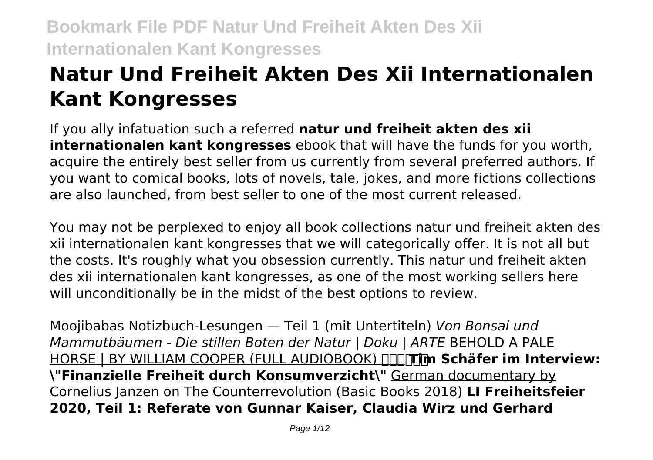# **Natur Und Freiheit Akten Des Xii Internationalen Kant Kongresses**

If you ally infatuation such a referred **natur und freiheit akten des xii internationalen kant kongresses** ebook that will have the funds for you worth, acquire the entirely best seller from us currently from several preferred authors. If you want to comical books, lots of novels, tale, jokes, and more fictions collections are also launched, from best seller to one of the most current released.

You may not be perplexed to enjoy all book collections natur und freiheit akten des xii internationalen kant kongresses that we will categorically offer. It is not all but the costs. It's roughly what you obsession currently. This natur und freiheit akten des xii internationalen kant kongresses, as one of the most working sellers here will unconditionally be in the midst of the best options to review.

Moojibabas Notizbuch-Lesungen — Teil 1 (mit Untertiteln) *Von Bonsai und Mammutbäumen - Die stillen Boten der Natur | Doku | ARTE* BEHOLD A PALE HORSE | BY WILLIAM COOPER (FULL AUDIOBOOK) **Tim Schäfer im Interview: \"Finanzielle Freiheit durch Konsumverzicht\"** German documentary by Cornelius Janzen on The Counterrevolution (Basic Books 2018) **LI Freiheitsfeier 2020, Teil 1: Referate von Gunnar Kaiser, Claudia Wirz und Gerhard**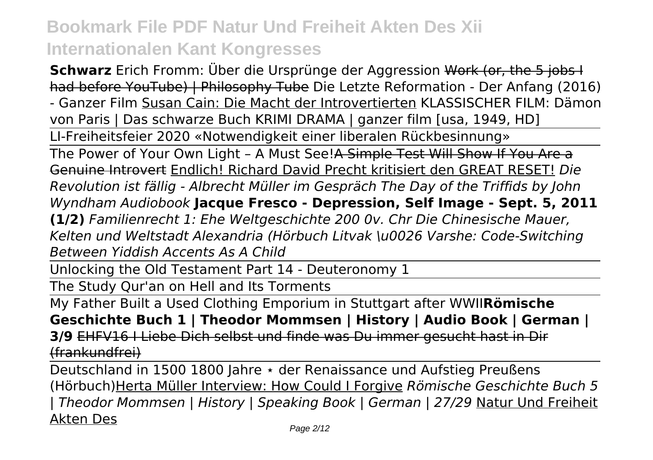**Schwarz** Erich Fromm: Über die Ursprünge der Aggression Work (or, the 5 jobs I had before YouTube) | Philosophy Tube Die Letzte Reformation - Der Anfang (2016) - Ganzer Film Susan Cain: Die Macht der Introvertierten KLASSISCHER FILM: Dämon von Paris | Das schwarze Buch KRIMI DRAMA | ganzer film [usa, 1949, HD] LI-Freiheitsfeier 2020 «Notwendigkeit einer liberalen Rückbesinnung» The Power of Your Own Light - A Must See!A Simple Test Will Show If You Are a Genuine Introvert Endlich! Richard David Precht kritisiert den GREAT RESET! *Die Revolution ist fällig - Albrecht Müller im Gespräch The Day of the Triffids by John Wyndham Audiobook* **Jacque Fresco - Depression, Self Image - Sept. 5, 2011 (1/2)** *Familienrecht 1: Ehe Weltgeschichte 200 0v. Chr Die Chinesische Mauer, Kelten und Weltstadt Alexandria (Hörbuch Litvak \u0026 Varshe: Code-Switching Between Yiddish Accents As A Child*

Unlocking the Old Testament Part 14 - Deuteronomy 1

The Study Qur'an on Hell and Its Torments

My Father Built a Used Clothing Emporium in Stuttgart after WWII**Römische Geschichte Buch 1 | Theodor Mommsen | History | Audio Book | German | 3/9** EHFV16 I Liebe Dich selbst und finde was Du immer gesucht hast in Dir (frankundfrei)

Deutschland in 1500 1800 Jahre ∗ der Renaissance und Aufstieg Preußens (Hörbuch)Herta Müller Interview: How Could I Forgive *Römische Geschichte Buch 5 | Theodor Mommsen | History | Speaking Book | German | 27/29* Natur Und Freiheit Akten Des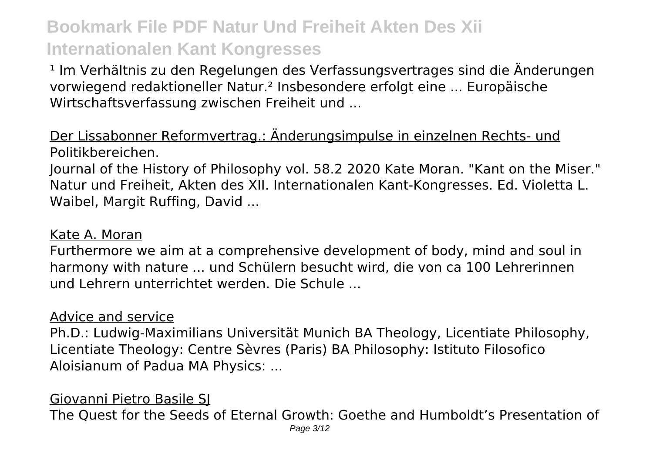<sup>1</sup> Im Verhältnis zu den Regelungen des Verfassungsvertrages sind die Änderungen vorwiegend redaktioneller Natur.² Insbesondere erfolgt eine ... Europäische Wirtschaftsverfassung zwischen Freiheit und ...

#### Der Lissabonner Reformvertrag.: Änderungsimpulse in einzelnen Rechts- und Politikbereichen.

Journal of the History of Philosophy vol. 58.2 2020 Kate Moran. "Kant on the Miser." Natur und Freiheit, Akten des XII. Internationalen Kant-Kongresses. Ed. Violetta L. Waibel, Margit Ruffing, David ...

#### Kate A. Moran

Furthermore we aim at a comprehensive development of body, mind and soul in harmony with nature ... und Schülern besucht wird, die von ca 100 Lehrerinnen und Lehrern unterrichtet werden. Die Schule ...

#### Advice and service

Ph.D.: Ludwig-Maximilians Universität Munich BA Theology, Licentiate Philosophy, Licentiate Theology: Centre Sèvres (Paris) BA Philosophy: Istituto Filosofico Aloisianum of Padua MA Physics: ...

#### Giovanni Pietro Basile SJ

The Quest for the Seeds of Eternal Growth: Goethe and Humboldt's Presentation of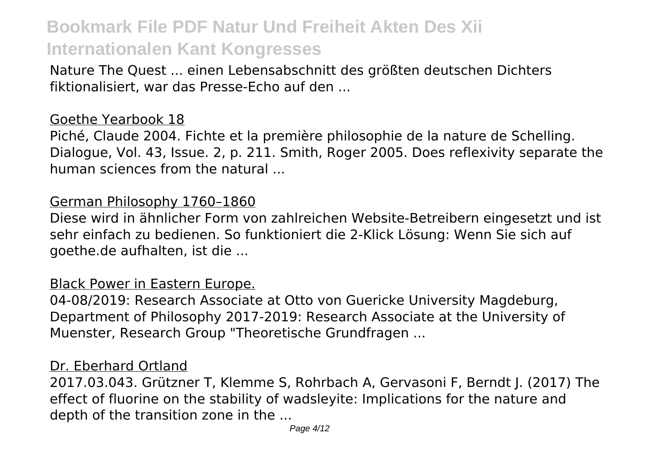Nature The Quest ... einen Lebensabschnitt des größten deutschen Dichters fiktionalisiert, war das Presse-Echo auf den ...

#### Goethe Yearbook 18

Piché, Claude 2004. Fichte et la première philosophie de la nature de Schelling. Dialogue, Vol. 43, Issue. 2, p. 211. Smith, Roger 2005. Does reflexivity separate the human sciences from the natural ...

#### German Philosophy 1760–1860

Diese wird in ähnlicher Form von zahlreichen Website-Betreibern eingesetzt und ist sehr einfach zu bedienen. So funktioniert die 2-Klick Lösung: Wenn Sie sich auf goethe.de aufhalten, ist die ...

#### Black Power in Eastern Europe.

04-08/2019: Research Associate at Otto von Guericke University Magdeburg, Department of Philosophy 2017-2019: Research Associate at the University of Muenster, Research Group "Theoretische Grundfragen ...

#### Dr. Eberhard Ortland

2017.03.043. Grützner T, Klemme S, Rohrbach A, Gervasoni F, Berndt J. (2017) The effect of fluorine on the stability of wadsleyite: Implications for the nature and depth of the transition zone in the ...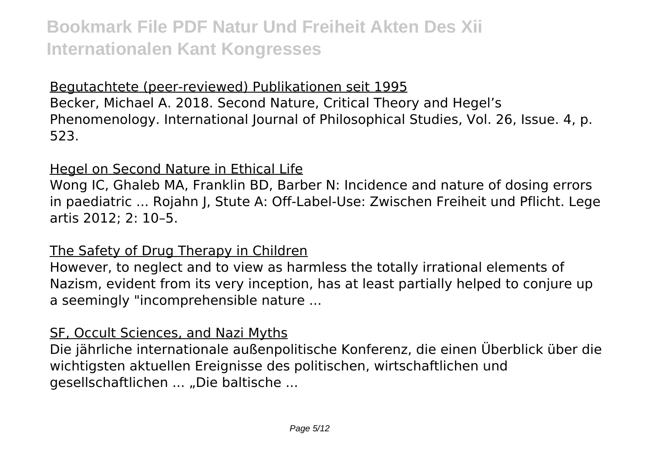#### Begutachtete (peer-reviewed) Publikationen seit 1995

Becker, Michael A. 2018. Second Nature, Critical Theory and Hegel's Phenomenology. International Journal of Philosophical Studies, Vol. 26, Issue. 4, p. 523.

#### Hegel on Second Nature in Ethical Life

Wong IC, Ghaleb MA, Franklin BD, Barber N: Incidence and nature of dosing errors in paediatric ... Rojahn J, Stute A: Off-Label-Use: Zwischen Freiheit und Pflicht. Lege artis 2012; 2: 10–5.

#### The Safety of Drug Therapy in Children

However, to neglect and to view as harmless the totally irrational elements of Nazism, evident from its very inception, has at least partially helped to conjure up a seemingly "incomprehensible nature ...

#### SF, Occult Sciences, and Nazi Myths

Die jährliche internationale außenpolitische Konferenz, die einen Überblick über die wichtigsten aktuellen Ereignisse des politischen, wirtschaftlichen und gesellschaftlichen ... "Die baltische ...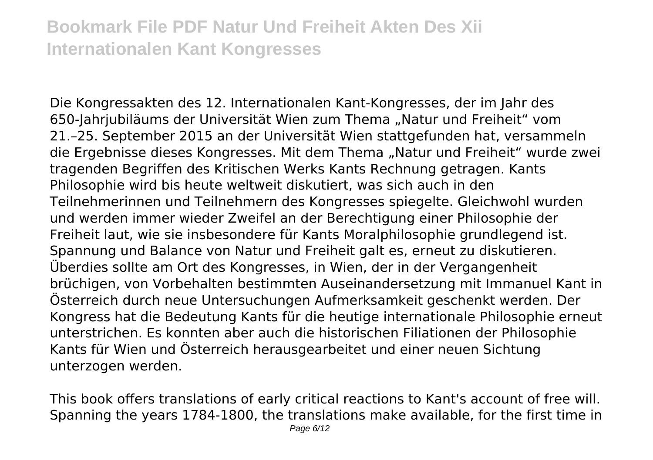Die Kongressakten des 12. Internationalen Kant-Kongresses, der im Jahr des 650-Jahrjubiläums der Universität Wien zum Thema "Natur und Freiheit" vom 21.–25. September 2015 an der Universität Wien stattgefunden hat, versammeln die Ergebnisse dieses Kongresses. Mit dem Thema "Natur und Freiheit" wurde zwei tragenden Begriffen des Kritischen Werks Kants Rechnung getragen. Kants Philosophie wird bis heute weltweit diskutiert, was sich auch in den Teilnehmerinnen und Teilnehmern des Kongresses spiegelte. Gleichwohl wurden und werden immer wieder Zweifel an der Berechtigung einer Philosophie der Freiheit laut, wie sie insbesondere für Kants Moralphilosophie grundlegend ist. Spannung und Balance von Natur und Freiheit galt es, erneut zu diskutieren. Überdies sollte am Ort des Kongresses, in Wien, der in der Vergangenheit brüchigen, von Vorbehalten bestimmten Auseinandersetzung mit Immanuel Kant in Österreich durch neue Untersuchungen Aufmerksamkeit geschenkt werden. Der Kongress hat die Bedeutung Kants für die heutige internationale Philosophie erneut unterstrichen. Es konnten aber auch die historischen Filiationen der Philosophie Kants für Wien und Österreich herausgearbeitet und einer neuen Sichtung unterzogen werden.

This book offers translations of early critical reactions to Kant's account of free will. Spanning the years 1784-1800, the translations make available, for the first time in Page 6/12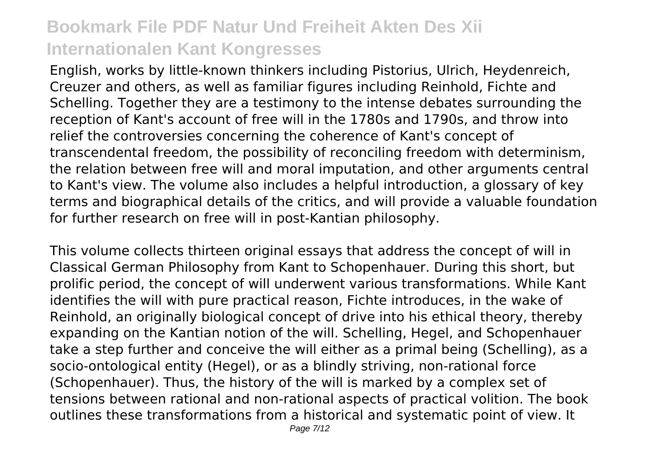English, works by little-known thinkers including Pistorius, Ulrich, Heydenreich, Creuzer and others, as well as familiar figures including Reinhold, Fichte and Schelling. Together they are a testimony to the intense debates surrounding the reception of Kant's account of free will in the 1780s and 1790s, and throw into relief the controversies concerning the coherence of Kant's concept of transcendental freedom, the possibility of reconciling freedom with determinism, the relation between free will and moral imputation, and other arguments central to Kant's view. The volume also includes a helpful introduction, a glossary of key terms and biographical details of the critics, and will provide a valuable foundation for further research on free will in post-Kantian philosophy.

This volume collects thirteen original essays that address the concept of will in Classical German Philosophy from Kant to Schopenhauer. During this short, but prolific period, the concept of will underwent various transformations. While Kant identifies the will with pure practical reason, Fichte introduces, in the wake of Reinhold, an originally biological concept of drive into his ethical theory, thereby expanding on the Kantian notion of the will. Schelling, Hegel, and Schopenhauer take a step further and conceive the will either as a primal being (Schelling), as a socio-ontological entity (Hegel), or as a blindly striving, non-rational force (Schopenhauer). Thus, the history of the will is marked by a complex set of tensions between rational and non-rational aspects of practical volition. The book outlines these transformations from a historical and systematic point of view. It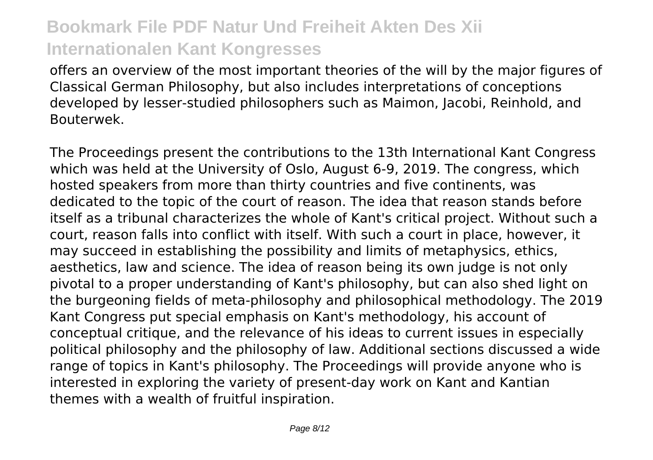offers an overview of the most important theories of the will by the major figures of Classical German Philosophy, but also includes interpretations of conceptions developed by lesser-studied philosophers such as Maimon, Jacobi, Reinhold, and Bouterwek.

The Proceedings present the contributions to the 13th International Kant Congress which was held at the University of Oslo, August 6-9, 2019. The congress, which hosted speakers from more than thirty countries and five continents, was dedicated to the topic of the court of reason. The idea that reason stands before itself as a tribunal characterizes the whole of Kant's critical project. Without such a court, reason falls into conflict with itself. With such a court in place, however, it may succeed in establishing the possibility and limits of metaphysics, ethics, aesthetics, law and science. The idea of reason being its own judge is not only pivotal to a proper understanding of Kant's philosophy, but can also shed light on the burgeoning fields of meta-philosophy and philosophical methodology. The 2019 Kant Congress put special emphasis on Kant's methodology, his account of conceptual critique, and the relevance of his ideas to current issues in especially political philosophy and the philosophy of law. Additional sections discussed a wide range of topics in Kant's philosophy. The Proceedings will provide anyone who is interested in exploring the variety of present-day work on Kant and Kantian themes with a wealth of fruitful inspiration.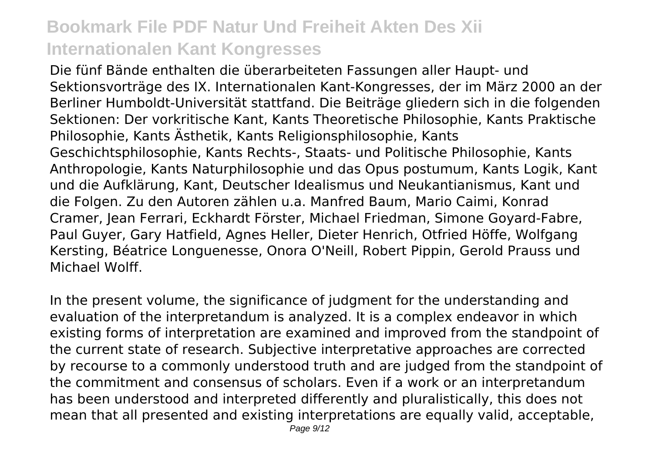Die fünf Bände enthalten die überarbeiteten Fassungen aller Haupt- und Sektionsvorträge des IX. Internationalen Kant-Kongresses, der im März 2000 an der Berliner Humboldt-Universität stattfand. Die Beiträge gliedern sich in die folgenden Sektionen: Der vorkritische Kant, Kants Theoretische Philosophie, Kants Praktische Philosophie, Kants Ästhetik, Kants Religionsphilosophie, Kants Geschichtsphilosophie, Kants Rechts-, Staats- und Politische Philosophie, Kants Anthropologie, Kants Naturphilosophie und das Opus postumum, Kants Logik, Kant und die Aufklärung, Kant, Deutscher Idealismus und Neukantianismus, Kant und die Folgen. Zu den Autoren zählen u.a. Manfred Baum, Mario Caimi, Konrad Cramer, Jean Ferrari, Eckhardt Förster, Michael Friedman, Simone Goyard-Fabre, Paul Guyer, Gary Hatfield, Agnes Heller, Dieter Henrich, Otfried Höffe, Wolfgang Kersting, Béatrice Longuenesse, Onora O'Neill, Robert Pippin, Gerold Prauss und Michael Wolff.

In the present volume, the significance of judgment for the understanding and evaluation of the interpretandum is analyzed. It is a complex endeavor in which existing forms of interpretation are examined and improved from the standpoint of the current state of research. Subjective interpretative approaches are corrected by recourse to a commonly understood truth and are judged from the standpoint of the commitment and consensus of scholars. Even if a work or an interpretandum has been understood and interpreted differently and pluralistically, this does not mean that all presented and existing interpretations are equally valid, acceptable,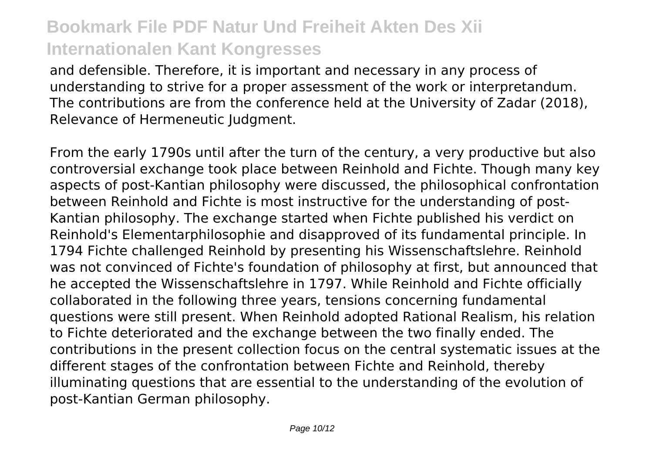and defensible. Therefore, it is important and necessary in any process of understanding to strive for a proper assessment of the work or interpretandum. The contributions are from the conference held at the University of Zadar (2018), Relevance of Hermeneutic Judgment.

From the early 1790s until after the turn of the century, a very productive but also controversial exchange took place between Reinhold and Fichte. Though many key aspects of post-Kantian philosophy were discussed, the philosophical confrontation between Reinhold and Fichte is most instructive for the understanding of post-Kantian philosophy. The exchange started when Fichte published his verdict on Reinhold's Elementarphilosophie and disapproved of its fundamental principle. In 1794 Fichte challenged Reinhold by presenting his Wissenschaftslehre. Reinhold was not convinced of Fichte's foundation of philosophy at first, but announced that he accepted the Wissenschaftslehre in 1797. While Reinhold and Fichte officially collaborated in the following three years, tensions concerning fundamental questions were still present. When Reinhold adopted Rational Realism, his relation to Fichte deteriorated and the exchange between the two finally ended. The contributions in the present collection focus on the central systematic issues at the different stages of the confrontation between Fichte and Reinhold, thereby illuminating questions that are essential to the understanding of the evolution of post-Kantian German philosophy.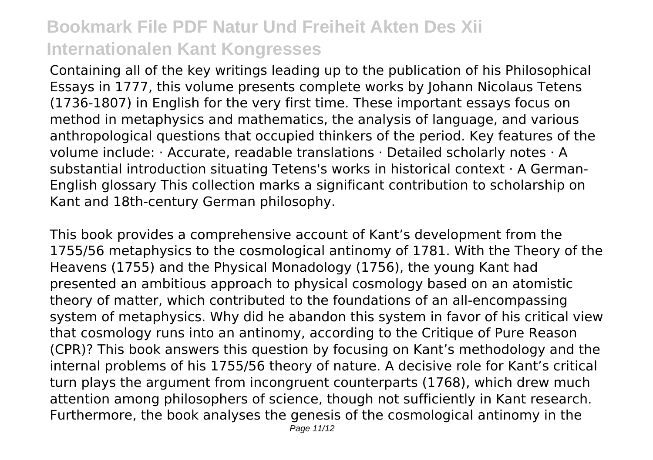Containing all of the key writings leading up to the publication of his Philosophical Essays in 1777, this volume presents complete works by Johann Nicolaus Tetens (1736-1807) in English for the very first time. These important essays focus on method in metaphysics and mathematics, the analysis of language, and various anthropological questions that occupied thinkers of the period. Key features of the volume include: · Accurate, readable translations · Detailed scholarly notes · A substantial introduction situating Tetens's works in historical context · A German-English glossary This collection marks a significant contribution to scholarship on Kant and 18th-century German philosophy.

This book provides a comprehensive account of Kant's development from the 1755/56 metaphysics to the cosmological antinomy of 1781. With the Theory of the Heavens (1755) and the Physical Monadology (1756), the young Kant had presented an ambitious approach to physical cosmology based on an atomistic theory of matter, which contributed to the foundations of an all-encompassing system of metaphysics. Why did he abandon this system in favor of his critical view that cosmology runs into an antinomy, according to the Critique of Pure Reason (CPR)? This book answers this question by focusing on Kant's methodology and the internal problems of his 1755/56 theory of nature. A decisive role for Kant's critical turn plays the argument from incongruent counterparts (1768), which drew much attention among philosophers of science, though not sufficiently in Kant research. Furthermore, the book analyses the genesis of the cosmological antinomy in the